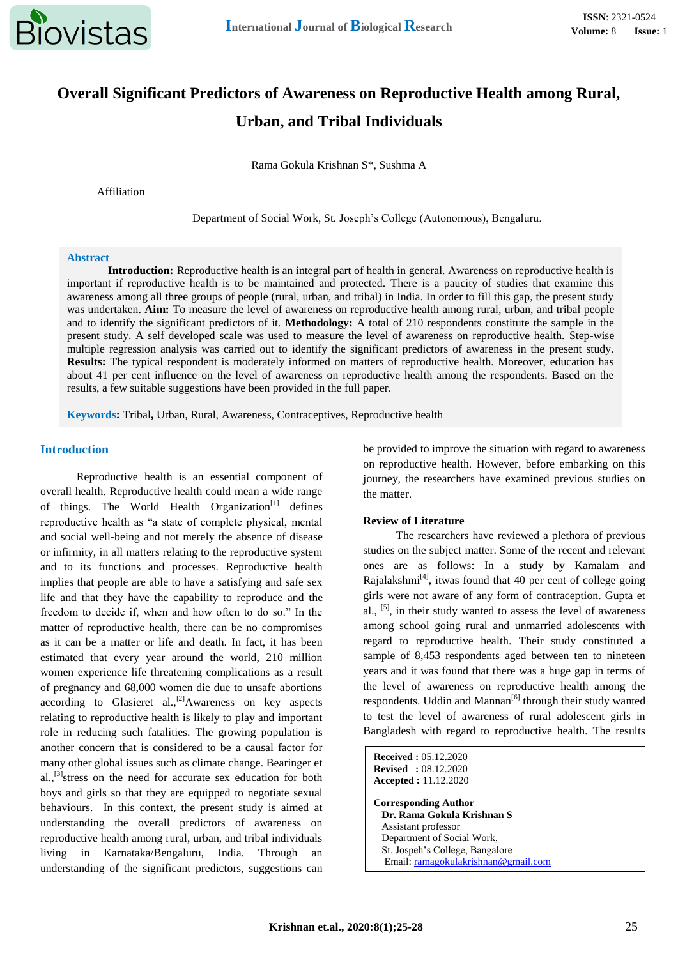

# **Overall Significant Predictors of Awareness on Reproductive Health among Rural, Urban, and Tribal Individuals**

Rama Gokula Krishnan S\*, Sushma A

Affiliation

Department of Social Work, St. Joseph's College (Autonomous), Bengaluru.

#### **Abstract**

**Introduction:** Reproductive health is an integral part of health in general. Awareness on reproductive health is important if reproductive health is to be maintained and protected. There is a paucity of studies that examine this awareness among all three groups of people (rural, urban, and tribal) in India. In order to fill this gap, the present study was undertaken. **Aim:** To measure the level of awareness on reproductive health among rural, urban, and tribal people and to identify the significant predictors of it. **Methodology:** A total of 210 respondents constitute the sample in the present study. A self developed scale was used to measure the level of awareness on reproductive health. Step-wise multiple regression analysis was carried out to identify the significant predictors of awareness in the present study. **Results:** The typical respondent is moderately informed on matters of reproductive health. Moreover, education has about 41 per cent influence on the level of awareness on reproductive health among the respondents. Based on the results, a few suitable suggestions have been provided in the full paper.

**Keywords:** Tribal**,** Urban, Rural, Awareness, Contraceptives, Reproductive health

### **Introduction**

Reproductive health is an essential component of overall health. Reproductive health could mean a wide range of things. The World Health Organization<sup>[1]</sup> defines reproductive health as "a state of complete physical, mental and social well-being and not merely the absence of disease or infirmity, in all matters relating to the reproductive system and to its functions and processes. Reproductive health implies that people are able to have a satisfying and safe sex life and that they have the capability to reproduce and the freedom to decide if, when and how often to do so." In the matter of reproductive health, there can be no compromises as it can be a matter or life and death. In fact, it has been estimated that every year around the world, 210 million women experience life threatening complications as a result of pregnancy and 68,000 women die due to unsafe abortions according to Glasieret al.,<sup>[2]</sup>Awareness on key aspects relating to reproductive health is likely to play and important role in reducing such fatalities. The growing population is another concern that is considered to be a causal factor for many other global issues such as climate change. Bearinger et al.,<sup>[3]</sup>stress on the need for accurate sex education for both boys and girls so that they are equipped to negotiate sexual behaviours. In this context, the present study is aimed at understanding the overall predictors of awareness on reproductive health among rural, urban, and tribal individuals living in Karnataka/Bengaluru, India. Through an understanding of the significant predictors, suggestions can

be provided to improve the situation with regard to awareness on reproductive health. However, before embarking on this journey, the researchers have examined previous studies on the matter.

## **Review of Literature**

The researchers have reviewed a plethora of previous studies on the subject matter. Some of the recent and relevant ones are as follows: In a study by Kamalam and Rajalakshmi $^{[4]}$ , itwas found that 40 per cent of college going girls were not aware of any form of contraception. Gupta et al.,  $[5]$ , in their study wanted to assess the level of awareness among school going rural and unmarried adolescents with regard to reproductive health. Their study constituted a sample of 8,453 respondents aged between ten to nineteen years and it was found that there was a huge gap in terms of the level of awareness on reproductive health among the respondents. Uddin and Mannan<sup>[6]</sup> through their study wanted to test the level of awareness of rural adolescent girls in Bangladesh with regard to reproductive health. The results

| <b>Received: 05.12.2020</b><br><b>Revised</b> : 08.12.2020<br><b>Accepted</b> : 11.12.2020 |
|--------------------------------------------------------------------------------------------|
| <b>Corresponding Author</b>                                                                |
| Dr. Rama Gokula Krishnan S                                                                 |
| Assistant professor                                                                        |
| Department of Social Work,                                                                 |
| St. Jospeh's College, Bangalore                                                            |
| Email: ramagokulakrishnan@gmail.com                                                        |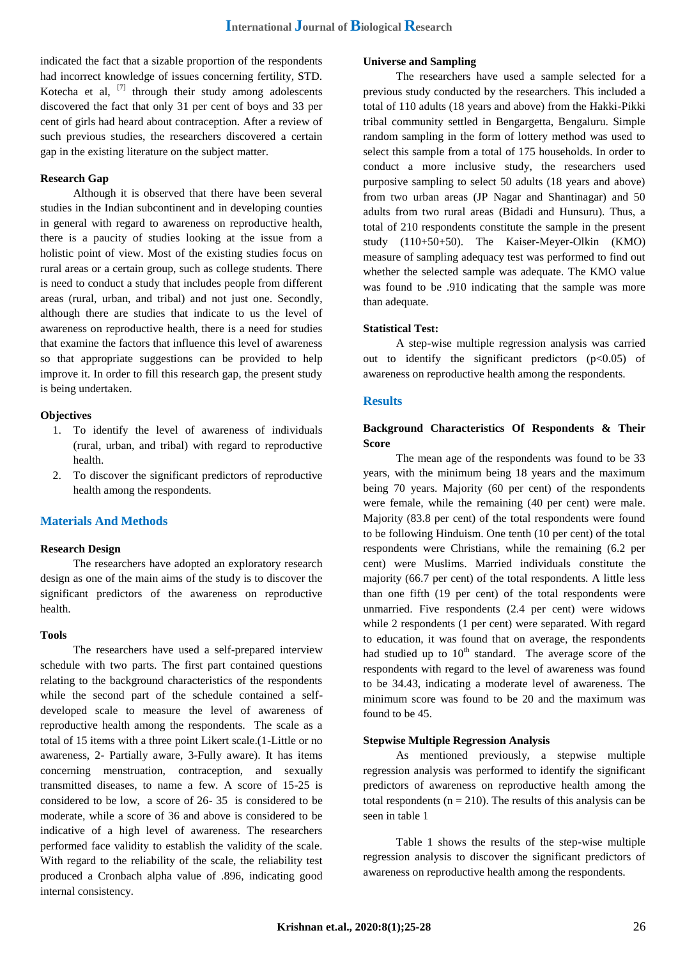indicated the fact that a sizable proportion of the respondents had incorrect knowledge of issues concerning fertility, STD. Kotecha et al,  $^{[7]}$  through their study among adolescents discovered the fact that only 31 per cent of boys and 33 per cent of girls had heard about contraception. After a review of such previous studies, the researchers discovered a certain gap in the existing literature on the subject matter.

## **Research Gap**

Although it is observed that there have been several studies in the Indian subcontinent and in developing counties in general with regard to awareness on reproductive health, there is a paucity of studies looking at the issue from a holistic point of view. Most of the existing studies focus on rural areas or a certain group, such as college students. There is need to conduct a study that includes people from different areas (rural, urban, and tribal) and not just one. Secondly, although there are studies that indicate to us the level of awareness on reproductive health, there is a need for studies that examine the factors that influence this level of awareness so that appropriate suggestions can be provided to help improve it. In order to fill this research gap, the present study is being undertaken.

#### **Objectives**

- 1. To identify the level of awareness of individuals (rural, urban, and tribal) with regard to reproductive health.
- 2. To discover the significant predictors of reproductive health among the respondents.

#### **Materials And Methods**

#### **Research Design**

The researchers have adopted an exploratory research design as one of the main aims of the study is to discover the significant predictors of the awareness on reproductive health.

#### **Tools**

The researchers have used a self-prepared interview schedule with two parts. The first part contained questions relating to the background characteristics of the respondents while the second part of the schedule contained a selfdeveloped scale to measure the level of awareness of reproductive health among the respondents. The scale as a total of 15 items with a three point Likert scale.(1-Little or no awareness, 2- Partially aware, 3-Fully aware). It has items concerning menstruation, contraception, and sexually transmitted diseases, to name a few. A score of 15-25 is considered to be low, a score of 26- 35 is considered to be moderate, while a score of 36 and above is considered to be indicative of a high level of awareness. The researchers performed face validity to establish the validity of the scale. With regard to the reliability of the scale, the reliability test produced a Cronbach alpha value of .896, indicating good internal consistency.

## **Universe and Sampling**

The researchers have used a sample selected for a previous study conducted by the researchers. This included a total of 110 adults (18 years and above) from the Hakki-Pikki tribal community settled in Bengargetta, Bengaluru. Simple random sampling in the form of lottery method was used to select this sample from a total of 175 households. In order to conduct a more inclusive study, the researchers used purposive sampling to select 50 adults (18 years and above) from two urban areas (JP Nagar and Shantinagar) and 50 adults from two rural areas (Bidadi and Hunsuru). Thus, a total of 210 respondents constitute the sample in the present study (110+50+50). The Kaiser-Meyer-Olkin (KMO) measure of sampling adequacy test was performed to find out whether the selected sample was adequate. The KMO value was found to be .910 indicating that the sample was more than adequate.

## **Statistical Test:**

A step-wise multiple regression analysis was carried out to identify the significant predictors  $(p<0.05)$  of awareness on reproductive health among the respondents.

## **Results**

## **Background Characteristics Of Respondents & Their Score**

The mean age of the respondents was found to be 33 years, with the minimum being 18 years and the maximum being 70 years. Majority (60 per cent) of the respondents were female, while the remaining (40 per cent) were male. Majority (83.8 per cent) of the total respondents were found to be following Hinduism. One tenth (10 per cent) of the total respondents were Christians, while the remaining (6.2 per cent) were Muslims. Married individuals constitute the majority (66.7 per cent) of the total respondents. A little less than one fifth (19 per cent) of the total respondents were unmarried. Five respondents (2.4 per cent) were widows while 2 respondents (1 per cent) were separated. With regard to education, it was found that on average, the respondents had studied up to  $10<sup>th</sup>$  standard. The average score of the respondents with regard to the level of awareness was found to be 34.43, indicating a moderate level of awareness. The minimum score was found to be 20 and the maximum was found to be 45.

### **Stepwise Multiple Regression Analysis**

As mentioned previously, a stepwise multiple regression analysis was performed to identify the significant predictors of awareness on reproductive health among the total respondents ( $n = 210$ ). The results of this analysis can be seen in table 1

Table 1 shows the results of the step-wise multiple regression analysis to discover the significant predictors of awareness on reproductive health among the respondents.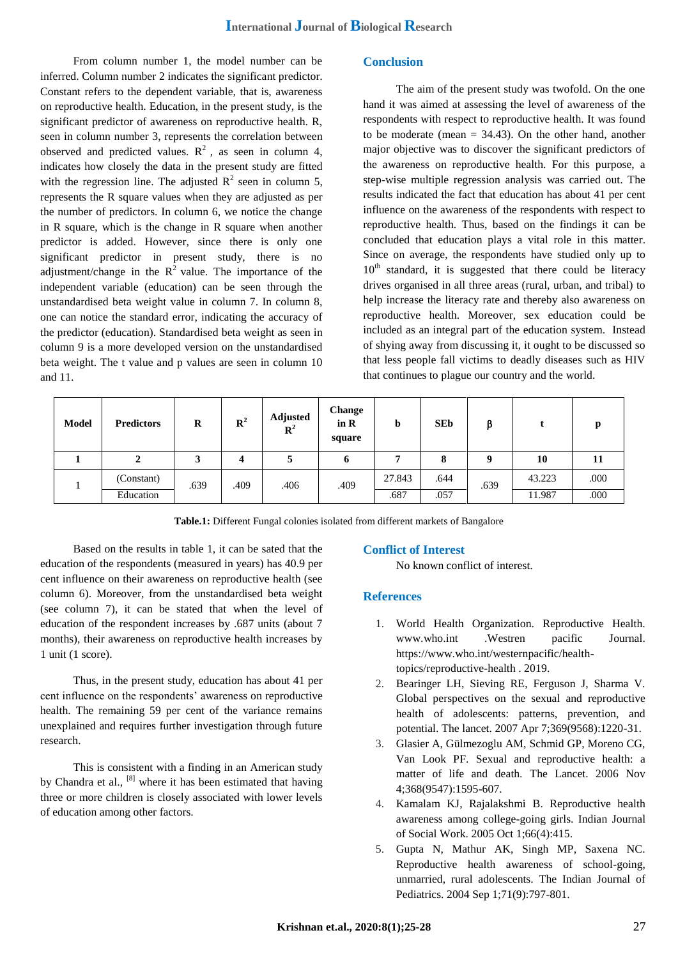From column number 1, the model number can be inferred. Column number 2 indicates the significant predictor. Constant refers to the dependent variable, that is, awareness on reproductive health. Education, in the present study, is the significant predictor of awareness on reproductive health. R, seen in column number 3, represents the correlation between observed and predicted values.  $R^2$ , as seen in column 4, indicates how closely the data in the present study are fitted with the regression line. The adjusted  $\mathbb{R}^2$  seen in column 5, represents the R square values when they are adjusted as per the number of predictors. In column 6, we notice the change in  $R$  square, which is the change in  $R$  square when another predictor is added. However, since there is only one significant predictor in present study, there is no adjustment/change in the  $R^2$  value. The importance of the independent variable (education) can be seen through the unstandardised beta weight value in column 7. In column 8, one can notice the standard error, indicating the accuracy of the predictor (education). Standardised beta weight as seen in column 9 is a more developed version on the unstandardised beta weight. The t value and p values are seen in column 10 and 11.

## **Conclusion**

The aim of the present study was twofold. On the one hand it was aimed at assessing the level of awareness of the respondents with respect to reproductive health. It was found to be moderate (mean  $= 34.43$ ). On the other hand, another major objective was to discover the significant predictors of the awareness on reproductive health. For this purpose, a step-wise multiple regression analysis was carried out. The results indicated the fact that education has about 41 per cent influence on the awareness of the respondents with respect to reproductive health. Thus, based on the findings it can be concluded that education plays a vital role in this matter. Since on average, the respondents have studied only up to  $10<sup>th</sup>$  standard, it is suggested that there could be literacy drives organised in all three areas (rural, urban, and tribal) to help increase the literacy rate and thereby also awareness on reproductive health. Moreover, sex education could be included as an integral part of the education system. Instead of shying away from discussing it, it ought to be discussed so that less people fall victims to deadly diseases such as HIV that continues to plague our country and the world.

| <b>Model</b> | <b>Predictors</b> | R    | $\mathbb{R}^2$ | Adjusted<br>$\mathbb{R}^2$ | Change<br>in $R$<br>square | b      | <b>SEb</b> |      |        | n    |
|--------------|-------------------|------|----------------|----------------------------|----------------------------|--------|------------|------|--------|------|
|              | ◢                 |      | 4              |                            | o                          |        | o          | Q    | 10     | 11   |
|              | (Constant)        | .639 | .409           | .406                       | .409                       | 27.843 | .644       | .639 | 43.223 | .000 |
|              | Education         |      |                |                            |                            | .687   | .057       |      | 11.987 | .000 |

**Table.1:** Different Fungal colonies isolated from different markets of Bangalore

Based on the results in table 1, it can be sated that the education of the respondents (measured in years) has 40.9 per cent influence on their awareness on reproductive health (see column 6). Moreover, from the unstandardised beta weight (see column 7), it can be stated that when the level of education of the respondent increases by .687 units (about 7 months), their awareness on reproductive health increases by 1 unit (1 score).

Thus, in the present study, education has about 41 per cent influence on the respondents' awareness on reproductive health. The remaining 59 per cent of the variance remains unexplained and requires further investigation through future research.

This is consistent with a finding in an American study by Chandra et al., [8] where it has been estimated that having three or more children is closely associated with lower levels of education among other factors.

## **Conflict of Interest**

No known conflict of interest.

## **References**

- 1. World Health Organization. Reproductive Health. www.who.int .Westren pacific Journal. https://www.who.int/westernpacific/healthtopics/reproductive-health . 2019.
- 2. Bearinger LH, Sieving RE, Ferguson J, Sharma V. Global perspectives on the sexual and reproductive health of adolescents: patterns, prevention, and potential. The lancet. 2007 Apr 7;369(9568):1220-31.
- 3. Glasier A, Gülmezoglu AM, Schmid GP, Moreno CG, Van Look PF. Sexual and reproductive health: a matter of life and death. The Lancet. 2006 Nov 4;368(9547):1595-607.
- 4. Kamalam KJ, Rajalakshmi B. Reproductive health awareness among college-going girls. Indian Journal of Social Work. 2005 Oct 1;66(4):415.
- 5. Gupta N, Mathur AK, Singh MP, Saxena NC. Reproductive health awareness of school-going, unmarried, rural adolescents. The Indian Journal of Pediatrics. 2004 Sep 1;71(9):797-801.